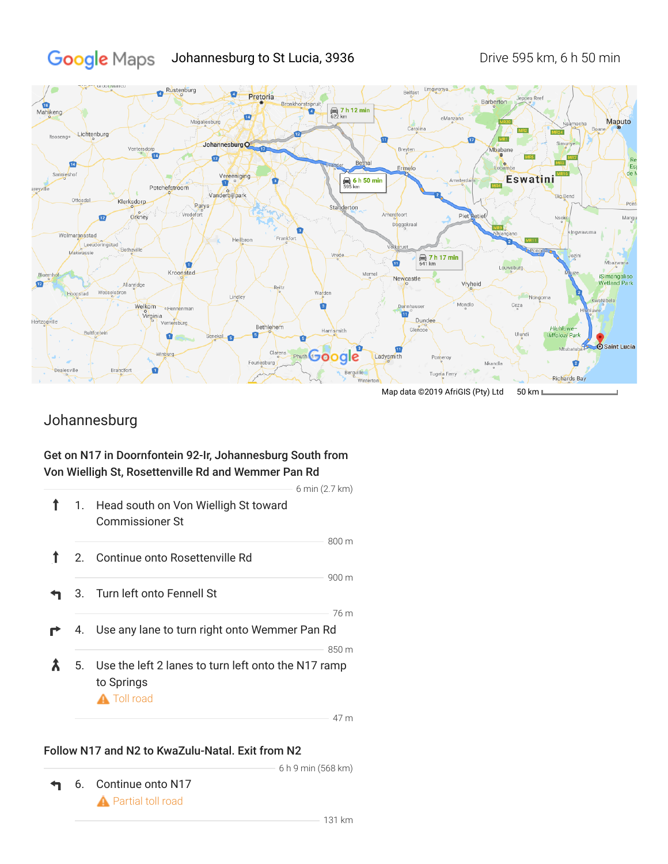### Google Maps Johannesburg to St Lucia, 3936 Drive 595 km, 6 h 50 min



Map data ©2019 AfriGIS (Pty) Ltd 50 km L

# Johannesburg

## Get on N17 in Doornfontein 92-Ir, Johannesburg South from Von Wielligh St, Rosettenville Rd and Wemmer Pan Rd

|                                                                                               |                                                                   | 6 min (2.7 km) |  |
|-----------------------------------------------------------------------------------------------|-------------------------------------------------------------------|----------------|--|
|                                                                                               | 1. Head south on Von Wielligh St toward<br><b>Commissioner St</b> |                |  |
|                                                                                               |                                                                   | 800 m          |  |
|                                                                                               | 2. Continue onto Rosettenville Rd                                 |                |  |
|                                                                                               |                                                                   | 900 m          |  |
|                                                                                               | 3. Turn left onto Fennell St                                      |                |  |
|                                                                                               |                                                                   | 76 m           |  |
|                                                                                               | 4. Use any lane to turn right onto Wemmer Pan Rd                  |                |  |
|                                                                                               |                                                                   | 850 m          |  |
| Use the left 2 lanes to turn left onto the N17 ramp<br>5.<br>to Springs<br><b>A</b> Toll road |                                                                   |                |  |
|                                                                                               |                                                                   | 17m            |  |

47 m

### Follow N17 and N2 to KwaZulu-Natal. Exit from N2

↰ 6. Continue onto N17 **A** Partial toll road

6 h 9 min (568 km)